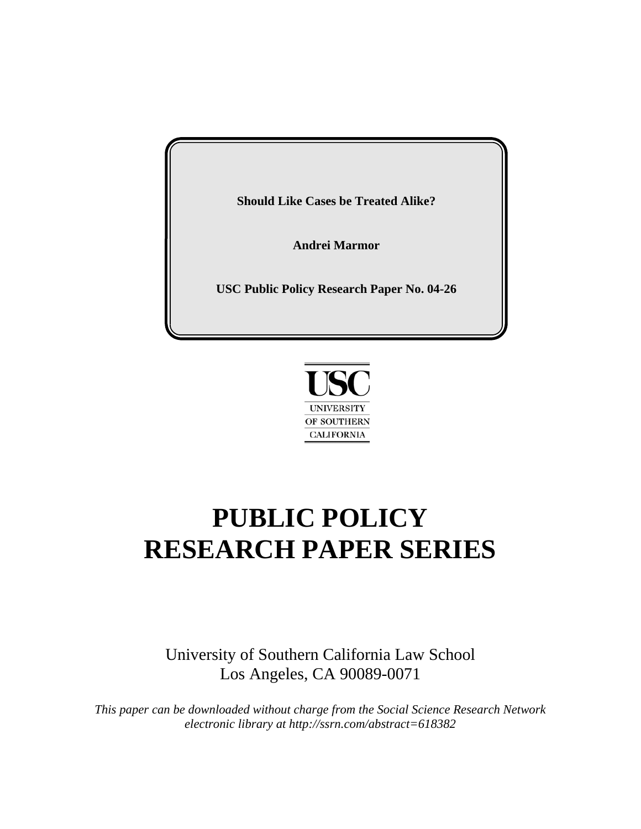**Should Like Cases be Treated Alike?**

**Andrei Marmor**

**USC Public Policy Research Paper No. 04-26**



# **PUBLIC POLICY RESEARCH PAPER SERIES**

University of Southern California Law School Los Angeles, CA 90089-0071

*This paper can be downloaded without charge from the Social Science Research Network electronic library at http://ssrn.com/abstract=618382*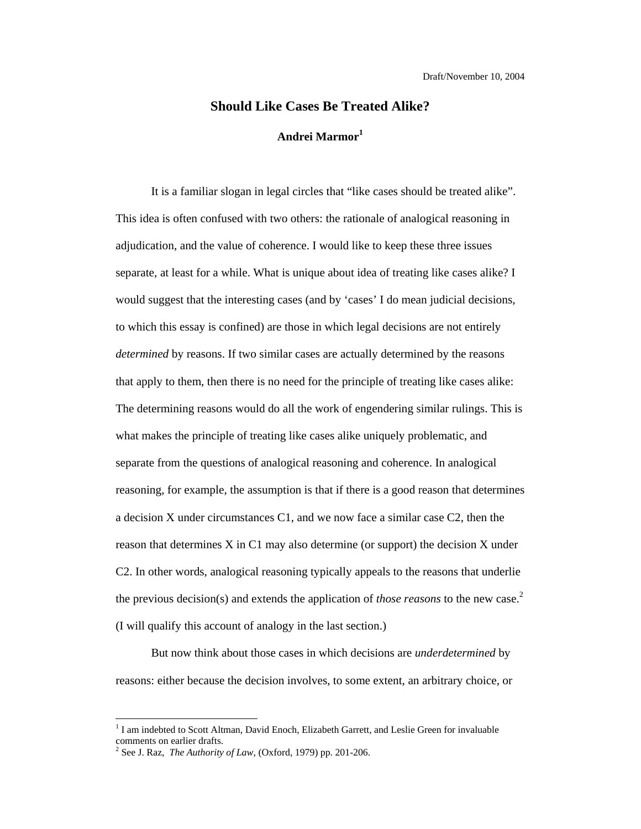## **Should Like Cases Be Treated Alike? Andrei Marmor<sup>1</sup>**

It is a familiar slogan in legal circles that "like cases should be treated alike". This idea is often confused with two others: the rationale of analogical reasoning in adjudication, and the value of coherence. I would like to keep these three issues separate, at least for a while. What is unique about idea of treating like cases alike? I would suggest that the interesting cases (and by 'cases' I do mean judicial decisions, to which this essay is confined) are those in which legal decisions are not entirely *determined* by reasons. If two similar cases are actually determined by the reasons that apply to them, then there is no need for the principle of treating like cases alike: The determining reasons would do all the work of engendering similar rulings. This is what makes the principle of treating like cases alike uniquely problematic, and separate from the questions of analogical reasoning and coherence. In analogical reasoning, for example, the assumption is that if there is a good reason that determines a decision X under circumstances C1, and we now face a similar case C2, then the reason that determines X in C1 may also determine (or support) the decision X under C2. In other words, analogical reasoning typically appeals to the reasons that underlie the previous decision(s) and extends the application of *those reasons* to the new case.<sup>2</sup> (I will qualify this account of analogy in the last section.)

But now think about those cases in which decisions are *underdetermined* by reasons: either because the decision involves, to some extent, an arbitrary choice, or

<sup>&</sup>lt;sup>1</sup> I am indebted to Scott Altman, David Enoch, Elizabeth Garrett, and Leslie Green for invaluable comments on earlier drafts.

<sup>&</sup>lt;sup>2</sup> See J. Raz, *The Authority of Law*, (Oxford, 1979) pp. 201-206.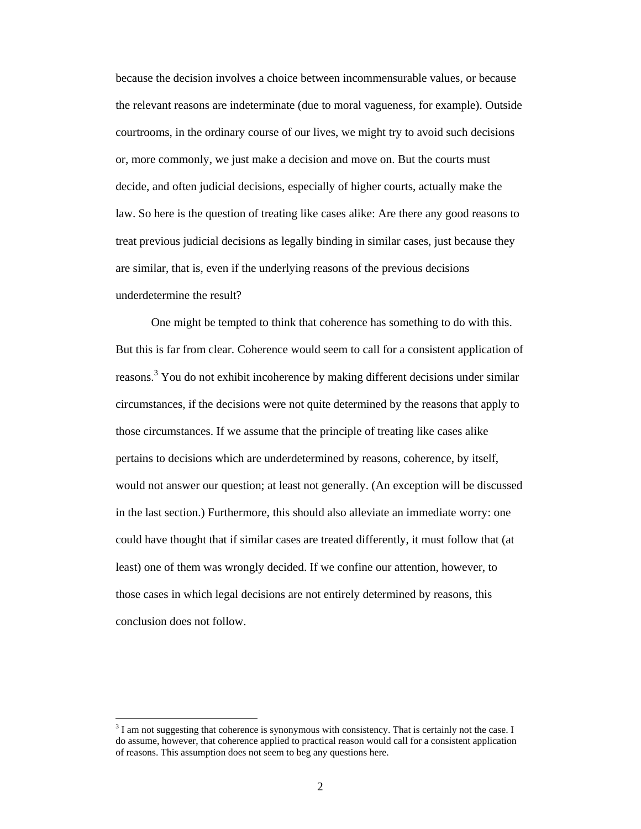because the decision involves a choice between incommensurable values, or because the relevant reasons are indeterminate (due to moral vagueness, for example). Outside courtrooms, in the ordinary course of our lives, we might try to avoid such decisions or, more commonly, we just make a decision and move on. But the courts must decide, and often judicial decisions, especially of higher courts, actually make the law. So here is the question of treating like cases alike: Are there any good reasons to treat previous judicial decisions as legally binding in similar cases, just because they are similar, that is, even if the underlying reasons of the previous decisions underdetermine the result?

 One might be tempted to think that coherence has something to do with this. But this is far from clear. Coherence would seem to call for a consistent application of reasons.<sup>3</sup> You do not exhibit incoherence by making different decisions under similar circumstances, if the decisions were not quite determined by the reasons that apply to those circumstances. If we assume that the principle of treating like cases alike pertains to decisions which are underdetermined by reasons, coherence, by itself, would not answer our question; at least not generally. (An exception will be discussed in the last section.) Furthermore, this should also alleviate an immediate worry: one could have thought that if similar cases are treated differently, it must follow that (at least) one of them was wrongly decided. If we confine our attention, however, to those cases in which legal decisions are not entirely determined by reasons, this conclusion does not follow.

 $3<sup>3</sup>$  I am not suggesting that coherence is synonymous with consistency. That is certainly not the case. I do assume, however, that coherence applied to practical reason would call for a consistent application of reasons. This assumption does not seem to beg any questions here.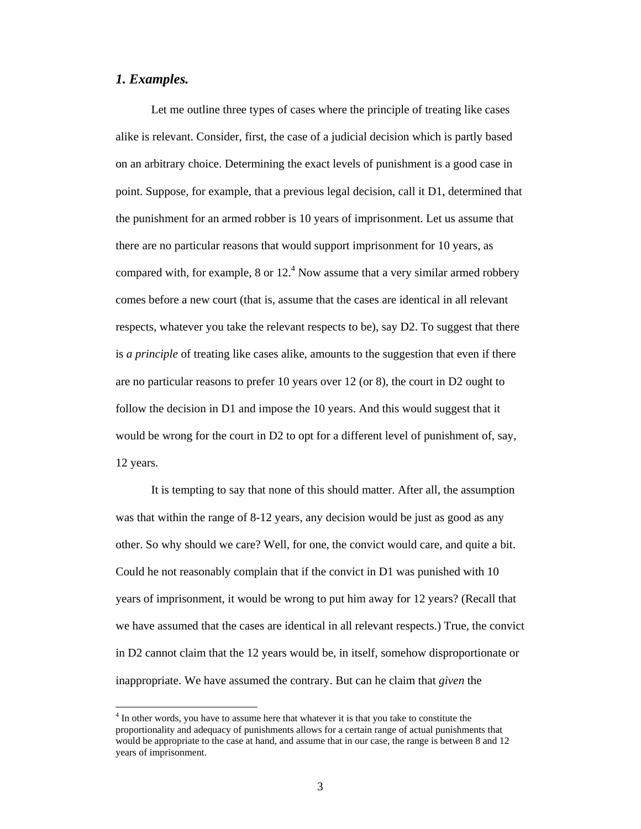#### *1. Examples.*

 $\overline{a}$ 

Let me outline three types of cases where the principle of treating like cases alike is relevant. Consider, first, the case of a judicial decision which is partly based on an arbitrary choice. Determining the exact levels of punishment is a good case in point. Suppose, for example, that a previous legal decision, call it D1, determined that the punishment for an armed robber is 10 years of imprisonment. Let us assume that there are no particular reasons that would support imprisonment for 10 years, as compared with, for example, 8 or  $12<sup>4</sup>$  Now assume that a very similar armed robbery comes before a new court (that is, assume that the cases are identical in all relevant respects, whatever you take the relevant respects to be), say D2. To suggest that there is *a principle* of treating like cases alike, amounts to the suggestion that even if there are no particular reasons to prefer 10 years over 12 (or 8), the court in D2 ought to follow the decision in D1 and impose the 10 years. And this would suggest that it would be wrong for the court in D2 to opt for a different level of punishment of, say, 12 years.

It is tempting to say that none of this should matter. After all, the assumption was that within the range of 8-12 years, any decision would be just as good as any other. So why should we care? Well, for one, the convict would care, and quite a bit. Could he not reasonably complain that if the convict in D1 was punished with 10 years of imprisonment, it would be wrong to put him away for 12 years? (Recall that we have assumed that the cases are identical in all relevant respects.) True, the convict in D2 cannot claim that the 12 years would be, in itself, somehow disproportionate or inappropriate. We have assumed the contrary. But can he claim that *given* the

 $4$  In other words, you have to assume here that whatever it is that you take to constitute the proportionality and adequacy of punishments allows for a certain range of actual punishments that would be appropriate to the case at hand, and assume that in our case, the range is between 8 and 12 years of imprisonment.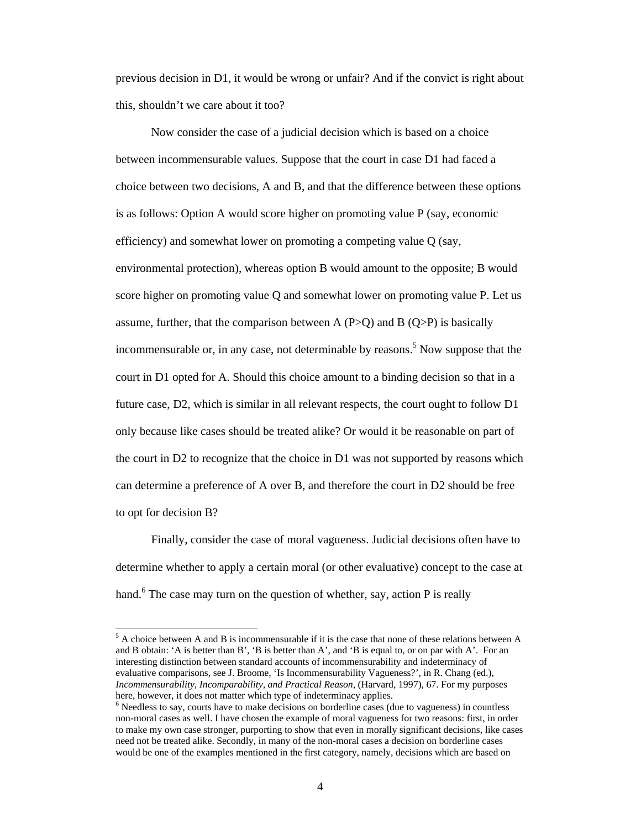previous decision in D1, it would be wrong or unfair? And if the convict is right about this, shouldn't we care about it too?

Now consider the case of a judicial decision which is based on a choice between incommensurable values. Suppose that the court in case D1 had faced a choice between two decisions, A and B, and that the difference between these options is as follows: Option A would score higher on promoting value P (say, economic efficiency) and somewhat lower on promoting a competing value Q (say, environmental protection), whereas option B would amount to the opposite; B would score higher on promoting value Q and somewhat lower on promoting value P. Let us assume, further, that the comparison between A (P>Q) and B (Q>P) is basically incommensurable or, in any case, not determinable by reasons.<sup>5</sup> Now suppose that the court in D1 opted for A. Should this choice amount to a binding decision so that in a future case, D2, which is similar in all relevant respects, the court ought to follow D1 only because like cases should be treated alike? Or would it be reasonable on part of the court in D2 to recognize that the choice in D1 was not supported by reasons which can determine a preference of A over B, and therefore the court in D2 should be free to opt for decision B?

Finally, consider the case of moral vagueness. Judicial decisions often have to determine whether to apply a certain moral (or other evaluative) concept to the case at hand.<sup>6</sup> The case may turn on the question of whether, say, action P is really

 $<sup>5</sup>$  A choice between A and B is incommensurable if it is the case that none of these relations between A</sup> and B obtain: 'A is better than B', 'B is better than A', and 'B is equal to, or on par with A'. For an interesting distinction between standard accounts of incommensurability and indeterminacy of evaluative comparisons, see J. Broome, 'Is Incommensurability Vagueness?', in R. Chang (ed.), *Incommensurability, Incomparability, and Practical Reason*, (Harvard, 1997), 67. For my purposes here, however, it does not matter which type of indeterminacy applies.

<sup>&</sup>lt;sup>6</sup> Needless to say, courts have to make decisions on borderline cases (due to vagueness) in countless non-moral cases as well. I have chosen the example of moral vagueness for two reasons: first, in order to make my own case stronger, purporting to show that even in morally significant decisions, like cases need not be treated alike. Secondly, in many of the non-moral cases a decision on borderline cases would be one of the examples mentioned in the first category, namely, decisions which are based on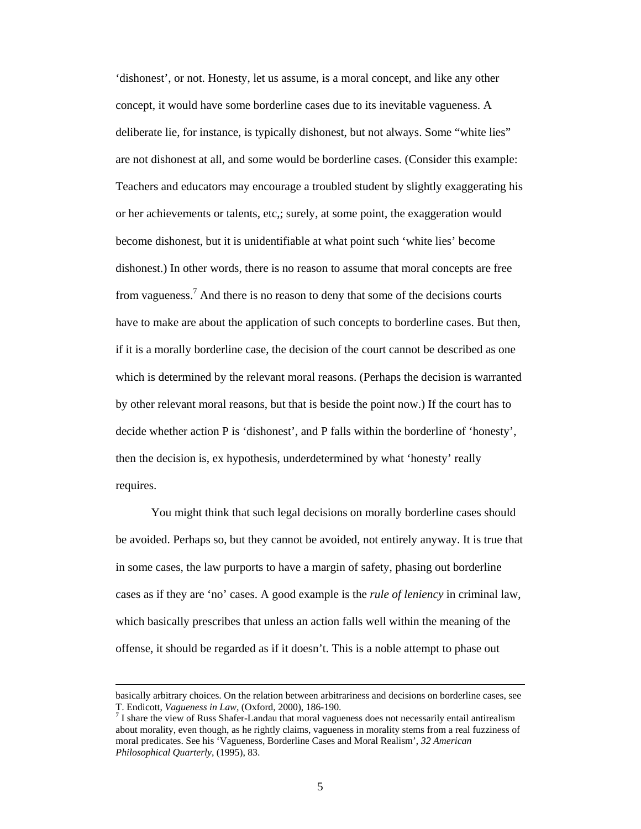'dishonest', or not. Honesty, let us assume, is a moral concept, and like any other concept, it would have some borderline cases due to its inevitable vagueness. A deliberate lie, for instance, is typically dishonest, but not always. Some "white lies" are not dishonest at all, and some would be borderline cases. (Consider this example: Teachers and educators may encourage a troubled student by slightly exaggerating his or her achievements or talents, etc,; surely, at some point, the exaggeration would become dishonest, but it is unidentifiable at what point such 'white lies' become dishonest.) In other words, there is no reason to assume that moral concepts are free from vagueness.<sup>7</sup> And there is no reason to deny that some of the decisions courts have to make are about the application of such concepts to borderline cases. But then, if it is a morally borderline case, the decision of the court cannot be described as one which is determined by the relevant moral reasons. (Perhaps the decision is warranted by other relevant moral reasons, but that is beside the point now.) If the court has to decide whether action P is 'dishonest', and P falls within the borderline of 'honesty', then the decision is, ex hypothesis, underdetermined by what 'honesty' really requires.

You might think that such legal decisions on morally borderline cases should be avoided. Perhaps so, but they cannot be avoided, not entirely anyway. It is true that in some cases, the law purports to have a margin of safety, phasing out borderline cases as if they are 'no' cases. A good example is the *rule of leniency* in criminal law, which basically prescribes that unless an action falls well within the meaning of the offense, it should be regarded as if it doesn't. This is a noble attempt to phase out

basically arbitrary choices. On the relation between arbitrariness and decisions on borderline cases, see T. Endicott, *Vagueness in Law*, (Oxford, 2000), 186-190. 7

 $<sup>7</sup>$  I share the view of Russ Shafer-Landau that moral vagueness does not necessarily entail antirealism</sup> about morality, even though, as he rightly claims, vagueness in morality stems from a real fuzziness of moral predicates. See his 'Vagueness, Borderline Cases and Moral Realism', *32 American Philosophical Quarterly*, (1995), 83.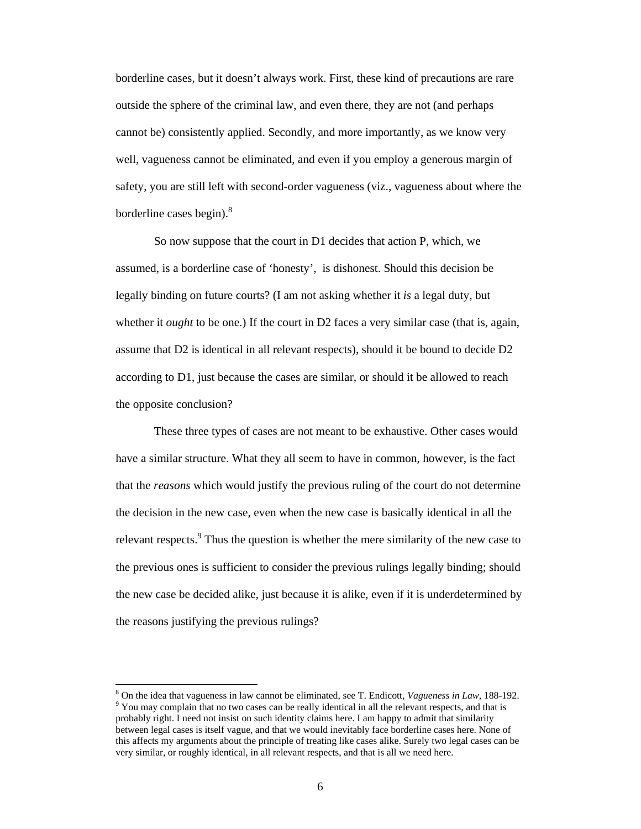borderline cases, but it doesn't always work. First, these kind of precautions are rare outside the sphere of the criminal law, and even there, they are not (and perhaps cannot be) consistently applied. Secondly, and more importantly, as we know very well, vagueness cannot be eliminated, and even if you employ a generous margin of safety, you are still left with second-order vagueness (viz., vagueness about where the borderline cases begin). $8$ 

 So now suppose that the court in D1 decides that action P, which, we assumed, is a borderline case of 'honesty', is dishonest. Should this decision be legally binding on future courts? (I am not asking whether it *is* a legal duty, but whether it *ought* to be one.) If the court in D2 faces a very similar case (that is, again, assume that D2 is identical in all relevant respects), should it be bound to decide D2 according to D1, just because the cases are similar, or should it be allowed to reach the opposite conclusion?

 These three types of cases are not meant to be exhaustive. Other cases would have a similar structure. What they all seem to have in common, however, is the fact that the *reasons* which would justify the previous ruling of the court do not determine the decision in the new case, even when the new case is basically identical in all the relevant respects.<sup>9</sup> Thus the question is whether the mere similarity of the new case to the previous ones is sufficient to consider the previous rulings legally binding; should the new case be decided alike, just because it is alike, even if it is underdetermined by the reasons justifying the previous rulings?

<sup>&</sup>lt;sup>8</sup> On the idea that vagueness in law cannot be eliminated, see T. Endicott, *Vagueness in Law*, 188-192. <sup>9</sup> You may complain that no two cases can be really identical in all the relevant respects, and that is probably right. I need not insist on such identity claims here. I am happy to admit that similarity between legal cases is itself vague, and that we would inevitably face borderline cases here. None of this affects my arguments about the principle of treating like cases alike. Surely two legal cases can be very similar, or roughly identical, in all relevant respects, and that is all we need here.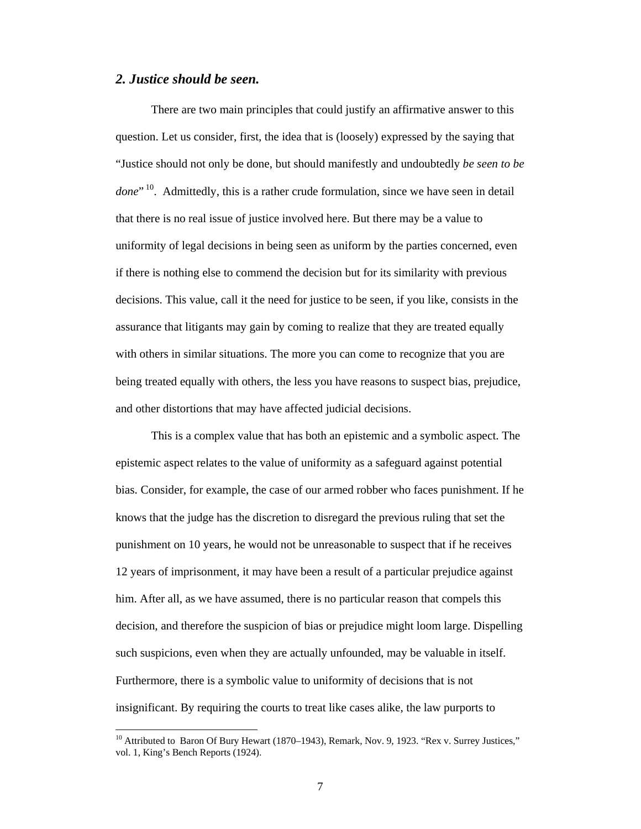#### *2. Justice should be seen.*

 $\overline{a}$ 

There are two main principles that could justify an affirmative answer to this question. Let us consider, first, the idea that is (loosely) expressed by the saying that "Justice should not only be done, but should manifestly and undoubtedly *be seen to be*  done<sup>" 10</sup>. Admittedly, this is a rather crude formulation, since we have seen in detail that there is no real issue of justice involved here. But there may be a value to uniformity of legal decisions in being seen as uniform by the parties concerned, even if there is nothing else to commend the decision but for its similarity with previous decisions. This value, call it the need for justice to be seen, if you like, consists in the assurance that litigants may gain by coming to realize that they are treated equally with others in similar situations. The more you can come to recognize that you are being treated equally with others, the less you have reasons to suspect bias, prejudice, and other distortions that may have affected judicial decisions.

This is a complex value that has both an epistemic and a symbolic aspect. The epistemic aspect relates to the value of uniformity as a safeguard against potential bias. Consider, for example, the case of our armed robber who faces punishment. If he knows that the judge has the discretion to disregard the previous ruling that set the punishment on 10 years, he would not be unreasonable to suspect that if he receives 12 years of imprisonment, it may have been a result of a particular prejudice against him. After all, as we have assumed, there is no particular reason that compels this decision, and therefore the suspicion of bias or prejudice might loom large. Dispelling such suspicions, even when they are actually unfounded, may be valuable in itself. Furthermore, there is a symbolic value to uniformity of decisions that is not insignificant. By requiring the courts to treat like cases alike, the law purports to

 $10$  Attributed to Baron Of Bury Hewart (1870–1943), Remark, Nov. 9, 1923. "Rex v. Surrey Justices," vol. 1, King's Bench Reports (1924).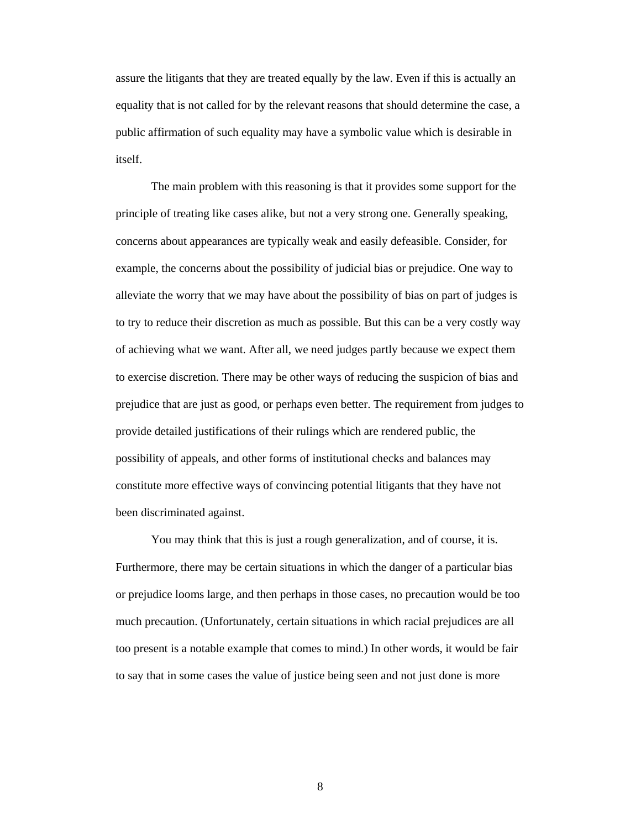assure the litigants that they are treated equally by the law. Even if this is actually an equality that is not called for by the relevant reasons that should determine the case, a public affirmation of such equality may have a symbolic value which is desirable in itself.

The main problem with this reasoning is that it provides some support for the principle of treating like cases alike, but not a very strong one. Generally speaking, concerns about appearances are typically weak and easily defeasible. Consider, for example, the concerns about the possibility of judicial bias or prejudice. One way to alleviate the worry that we may have about the possibility of bias on part of judges is to try to reduce their discretion as much as possible. But this can be a very costly way of achieving what we want. After all, we need judges partly because we expect them to exercise discretion. There may be other ways of reducing the suspicion of bias and prejudice that are just as good, or perhaps even better. The requirement from judges to provide detailed justifications of their rulings which are rendered public, the possibility of appeals, and other forms of institutional checks and balances may constitute more effective ways of convincing potential litigants that they have not been discriminated against.

You may think that this is just a rough generalization, and of course, it is. Furthermore, there may be certain situations in which the danger of a particular bias or prejudice looms large, and then perhaps in those cases, no precaution would be too much precaution. (Unfortunately, certain situations in which racial prejudices are all too present is a notable example that comes to mind.) In other words, it would be fair to say that in some cases the value of justice being seen and not just done is more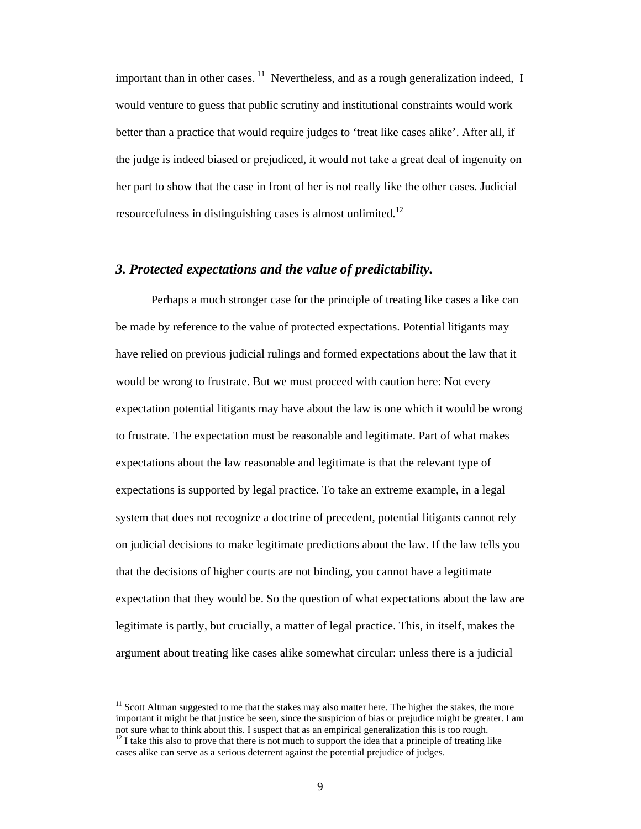important than in other cases.  $11$  Nevertheless, and as a rough generalization indeed, I would venture to guess that public scrutiny and institutional constraints would work better than a practice that would require judges to 'treat like cases alike'. After all, if the judge is indeed biased or prejudiced, it would not take a great deal of ingenuity on her part to show that the case in front of her is not really like the other cases. Judicial resourcefulness in distinguishing cases is almost unlimited.<sup>12</sup>

#### *3. Protected expectations and the value of predictability.*

Perhaps a much stronger case for the principle of treating like cases a like can be made by reference to the value of protected expectations. Potential litigants may have relied on previous judicial rulings and formed expectations about the law that it would be wrong to frustrate. But we must proceed with caution here: Not every expectation potential litigants may have about the law is one which it would be wrong to frustrate. The expectation must be reasonable and legitimate. Part of what makes expectations about the law reasonable and legitimate is that the relevant type of expectations is supported by legal practice. To take an extreme example, in a legal system that does not recognize a doctrine of precedent, potential litigants cannot rely on judicial decisions to make legitimate predictions about the law. If the law tells you that the decisions of higher courts are not binding, you cannot have a legitimate expectation that they would be. So the question of what expectations about the law are legitimate is partly, but crucially, a matter of legal practice. This, in itself, makes the argument about treating like cases alike somewhat circular: unless there is a judicial

<sup>&</sup>lt;sup>11</sup> Scott Altman suggested to me that the stakes may also matter here. The higher the stakes, the more important it might be that justice be seen, since the suspicion of bias or prejudice might be greater. I am not sure what to think about this. I suspect that as an empirical generalization this is too rough.  $12$  I take this also to prove that there is not much to support the idea that a principle of treating like

cases alike can serve as a serious deterrent against the potential prejudice of judges.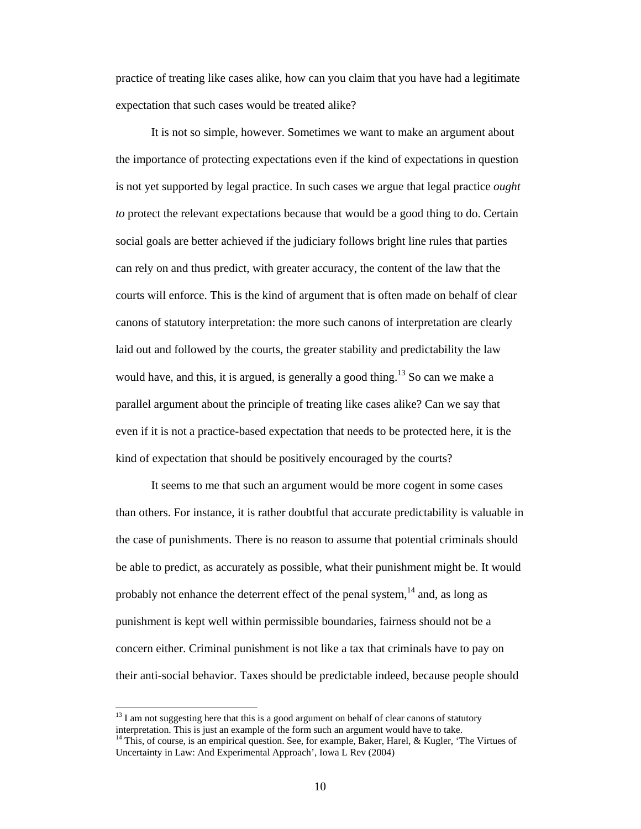practice of treating like cases alike, how can you claim that you have had a legitimate expectation that such cases would be treated alike?

It is not so simple, however. Sometimes we want to make an argument about the importance of protecting expectations even if the kind of expectations in question is not yet supported by legal practice. In such cases we argue that legal practice *ought to* protect the relevant expectations because that would be a good thing to do. Certain social goals are better achieved if the judiciary follows bright line rules that parties can rely on and thus predict, with greater accuracy, the content of the law that the courts will enforce. This is the kind of argument that is often made on behalf of clear canons of statutory interpretation: the more such canons of interpretation are clearly laid out and followed by the courts, the greater stability and predictability the law would have, and this, it is argued, is generally a good thing.<sup>13</sup> So can we make a parallel argument about the principle of treating like cases alike? Can we say that even if it is not a practice-based expectation that needs to be protected here, it is the kind of expectation that should be positively encouraged by the courts?

It seems to me that such an argument would be more cogent in some cases than others. For instance, it is rather doubtful that accurate predictability is valuable in the case of punishments. There is no reason to assume that potential criminals should be able to predict, as accurately as possible, what their punishment might be. It would probably not enhance the deterrent effect of the penal system,  $14$  and, as long as punishment is kept well within permissible boundaries, fairness should not be a concern either. Criminal punishment is not like a tax that criminals have to pay on their anti-social behavior. Taxes should be predictable indeed, because people should

 $13$  I am not suggesting here that this is a good argument on behalf of clear canons of statutory interpretation. This is just an example of the form such an argument would have to take.

<sup>&</sup>lt;sup>14</sup> This, of course, is an empirical question. See, for example, Baker, Harel, & Kugler, 'The Virtues of Uncertainty in Law: And Experimental Approach', Iowa L Rev (2004)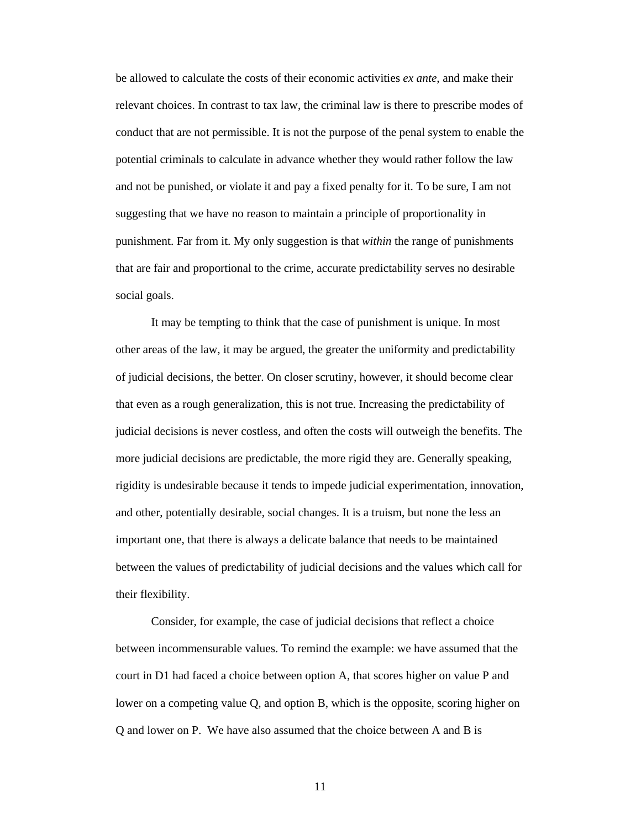be allowed to calculate the costs of their economic activities *ex ante*, and make their relevant choices. In contrast to tax law, the criminal law is there to prescribe modes of conduct that are not permissible. It is not the purpose of the penal system to enable the potential criminals to calculate in advance whether they would rather follow the law and not be punished, or violate it and pay a fixed penalty for it. To be sure, I am not suggesting that we have no reason to maintain a principle of proportionality in punishment. Far from it. My only suggestion is that *within* the range of punishments that are fair and proportional to the crime, accurate predictability serves no desirable social goals.

It may be tempting to think that the case of punishment is unique. In most other areas of the law, it may be argued, the greater the uniformity and predictability of judicial decisions, the better. On closer scrutiny, however, it should become clear that even as a rough generalization, this is not true. Increasing the predictability of judicial decisions is never costless, and often the costs will outweigh the benefits. The more judicial decisions are predictable, the more rigid they are. Generally speaking, rigidity is undesirable because it tends to impede judicial experimentation, innovation, and other, potentially desirable, social changes. It is a truism, but none the less an important one, that there is always a delicate balance that needs to be maintained between the values of predictability of judicial decisions and the values which call for their flexibility.

Consider, for example, the case of judicial decisions that reflect a choice between incommensurable values. To remind the example: we have assumed that the court in D1 had faced a choice between option A, that scores higher on value P and lower on a competing value Q, and option B, which is the opposite, scoring higher on Q and lower on P. We have also assumed that the choice between A and B is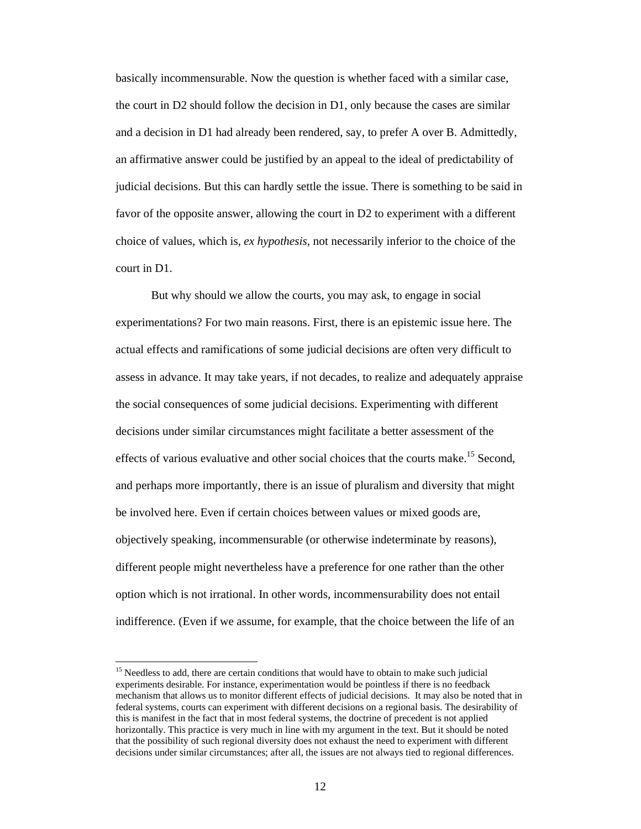basically incommensurable. Now the question is whether faced with a similar case, the court in D2 should follow the decision in D1, only because the cases are similar and a decision in D1 had already been rendered, say, to prefer A over B. Admittedly, an affirmative answer could be justified by an appeal to the ideal of predictability of judicial decisions. But this can hardly settle the issue. There is something to be said in favor of the opposite answer, allowing the court in D2 to experiment with a different choice of values, which is, *ex hypothesis*, not necessarily inferior to the choice of the court in D1.

But why should we allow the courts, you may ask, to engage in social experimentations? For two main reasons. First, there is an epistemic issue here. The actual effects and ramifications of some judicial decisions are often very difficult to assess in advance. It may take years, if not decades, to realize and adequately appraise the social consequences of some judicial decisions. Experimenting with different decisions under similar circumstances might facilitate a better assessment of the effects of various evaluative and other social choices that the courts make.<sup>15</sup> Second, and perhaps more importantly, there is an issue of pluralism and diversity that might be involved here. Even if certain choices between values or mixed goods are, objectively speaking, incommensurable (or otherwise indeterminate by reasons), different people might nevertheless have a preference for one rather than the other option which is not irrational. In other words, incommensurability does not entail indifference. (Even if we assume, for example, that the choice between the life of an

<sup>&</sup>lt;sup>15</sup> Needless to add, there are certain conditions that would have to obtain to make such judicial experiments desirable. For instance, experimentation would be pointless if there is no feedback mechanism that allows us to monitor different effects of judicial decisions. It may also be noted that in federal systems, courts can experiment with different decisions on a regional basis. The desirability of this is manifest in the fact that in most federal systems, the doctrine of precedent is not applied horizontally. This practice is very much in line with my argument in the text. But it should be noted that the possibility of such regional diversity does not exhaust the need to experiment with different decisions under similar circumstances; after all, the issues are not always tied to regional differences.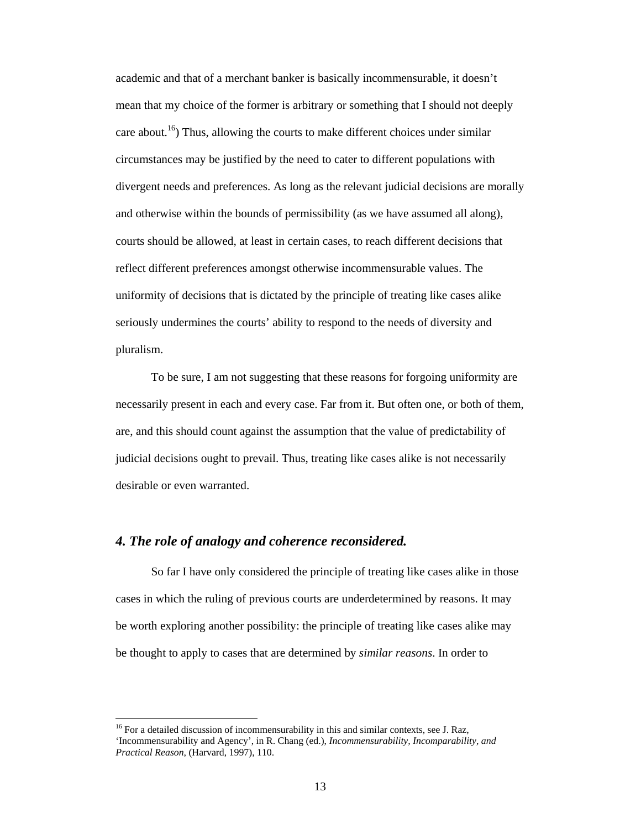academic and that of a merchant banker is basically incommensurable, it doesn't mean that my choice of the former is arbitrary or something that I should not deeply care about.<sup>16</sup>) Thus, allowing the courts to make different choices under similar circumstances may be justified by the need to cater to different populations with divergent needs and preferences. As long as the relevant judicial decisions are morally and otherwise within the bounds of permissibility (as we have assumed all along), courts should be allowed, at least in certain cases, to reach different decisions that reflect different preferences amongst otherwise incommensurable values. The uniformity of decisions that is dictated by the principle of treating like cases alike seriously undermines the courts' ability to respond to the needs of diversity and pluralism.

To be sure, I am not suggesting that these reasons for forgoing uniformity are necessarily present in each and every case. Far from it. But often one, or both of them, are, and this should count against the assumption that the value of predictability of judicial decisions ought to prevail. Thus, treating like cases alike is not necessarily desirable or even warranted.

### *4. The role of analogy and coherence reconsidered.*

 $\overline{a}$ 

 So far I have only considered the principle of treating like cases alike in those cases in which the ruling of previous courts are underdetermined by reasons. It may be worth exploring another possibility: the principle of treating like cases alike may be thought to apply to cases that are determined by *similar reasons*. In order to

<sup>&</sup>lt;sup>16</sup> For a detailed discussion of incommensurability in this and similar contexts, see J. Raz, 'Incommensurability and Agency', in R. Chang (ed.), *Incommensurability, Incomparability, and Practical Reason*, (Harvard, 1997), 110.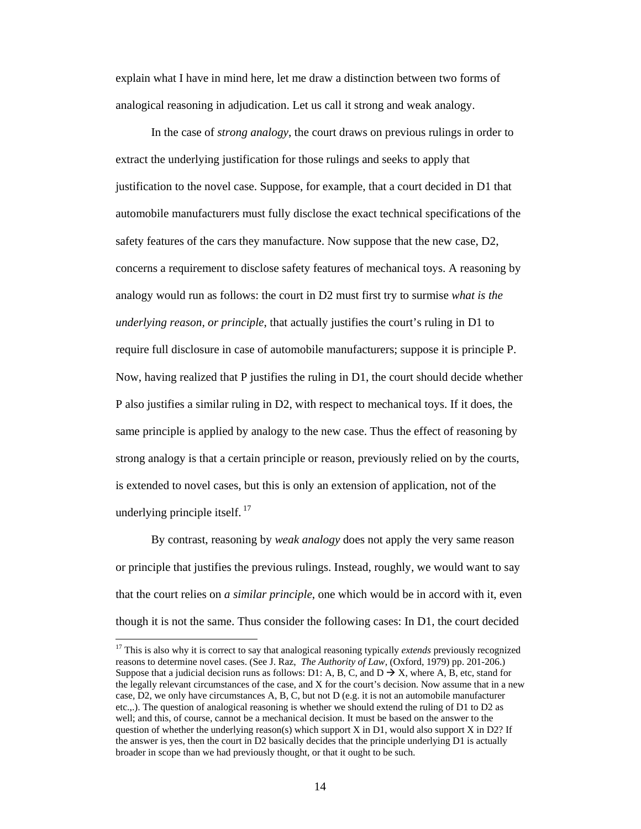explain what I have in mind here, let me draw a distinction between two forms of analogical reasoning in adjudication. Let us call it strong and weak analogy.

 In the case of *strong analogy*, the court draws on previous rulings in order to extract the underlying justification for those rulings and seeks to apply that justification to the novel case. Suppose, for example, that a court decided in D1 that automobile manufacturers must fully disclose the exact technical specifications of the safety features of the cars they manufacture. Now suppose that the new case, D2, concerns a requirement to disclose safety features of mechanical toys. A reasoning by analogy would run as follows: the court in D2 must first try to surmise *what is the underlying reason, or principle*, that actually justifies the court's ruling in D1 to require full disclosure in case of automobile manufacturers; suppose it is principle P. Now, having realized that P justifies the ruling in D1, the court should decide whether P also justifies a similar ruling in D2, with respect to mechanical toys. If it does, the same principle is applied by analogy to the new case. Thus the effect of reasoning by strong analogy is that a certain principle or reason, previously relied on by the courts, is extended to novel cases, but this is only an extension of application, not of the underlying principle itself.  $17$ 

 By contrast, reasoning by *weak analogy* does not apply the very same reason or principle that justifies the previous rulings. Instead, roughly, we would want to say that the court relies on *a similar principle*, one which would be in accord with it, even though it is not the same. Thus consider the following cases: In D1, the court decided

<sup>&</sup>lt;sup>17</sup> This is also why it is correct to say that analogical reasoning typically *extends* previously recognized reasons to determine novel cases. (See J. Raz, *The Authority of Law*, (Oxford, 1979) pp. 201-206.) Suppose that a judicial decision runs as follows: D1: A, B, C, and D  $\rightarrow$  X, where A, B, etc, stand for the legally relevant circumstances of the case, and X for the court's decision. Now assume that in a new case, D2, we only have circumstances A, B, C, but not D (e.g. it is not an automobile manufacturer etc.,.). The question of analogical reasoning is whether we should extend the ruling of D1 to D2 as well; and this, of course, cannot be a mechanical decision. It must be based on the answer to the question of whether the underlying reason(s) which support  $X$  in D1, would also support  $X$  in D2? If the answer is yes, then the court in D2 basically decides that the principle underlying D1 is actually broader in scope than we had previously thought, or that it ought to be such.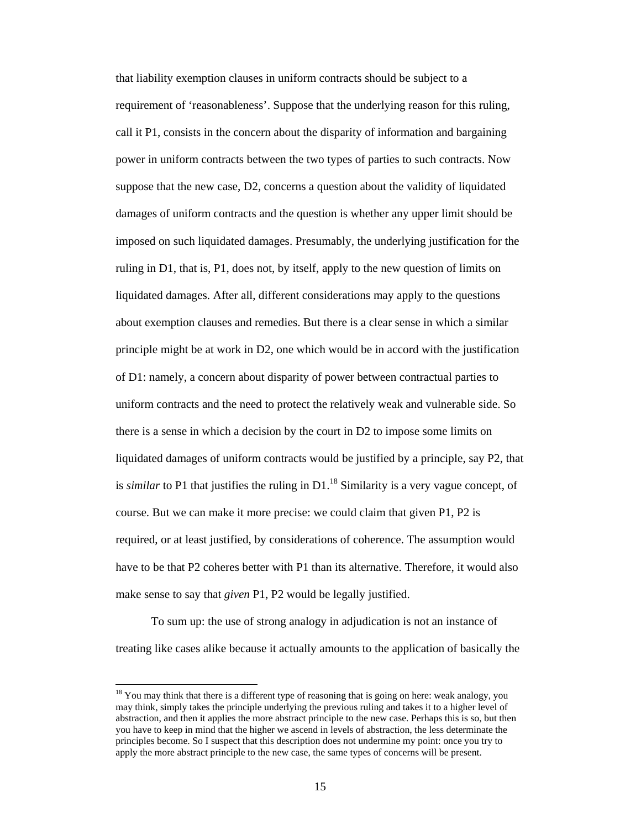that liability exemption clauses in uniform contracts should be subject to a requirement of 'reasonableness'. Suppose that the underlying reason for this ruling, call it P1, consists in the concern about the disparity of information and bargaining power in uniform contracts between the two types of parties to such contracts. Now suppose that the new case, D2, concerns a question about the validity of liquidated damages of uniform contracts and the question is whether any upper limit should be imposed on such liquidated damages. Presumably, the underlying justification for the ruling in D1, that is, P1, does not, by itself, apply to the new question of limits on liquidated damages. After all, different considerations may apply to the questions about exemption clauses and remedies. But there is a clear sense in which a similar principle might be at work in D2, one which would be in accord with the justification of D1: namely, a concern about disparity of power between contractual parties to uniform contracts and the need to protect the relatively weak and vulnerable side. So there is a sense in which a decision by the court in D2 to impose some limits on liquidated damages of uniform contracts would be justified by a principle, say P2, that is *similar* to P1 that justifies the ruling in  $D1$ <sup>18</sup> Similarity is a very vague concept, of course. But we can make it more precise: we could claim that given P1, P2 is required, or at least justified, by considerations of coherence. The assumption would have to be that P2 coheres better with P1 than its alternative. Therefore, it would also make sense to say that *given* P1, P2 would be legally justified.

 To sum up: the use of strong analogy in adjudication is not an instance of treating like cases alike because it actually amounts to the application of basically the

 $18$  You may think that there is a different type of reasoning that is going on here: weak analogy, you may think, simply takes the principle underlying the previous ruling and takes it to a higher level of abstraction, and then it applies the more abstract principle to the new case. Perhaps this is so, but then you have to keep in mind that the higher we ascend in levels of abstraction, the less determinate the principles become. So I suspect that this description does not undermine my point: once you try to apply the more abstract principle to the new case, the same types of concerns will be present.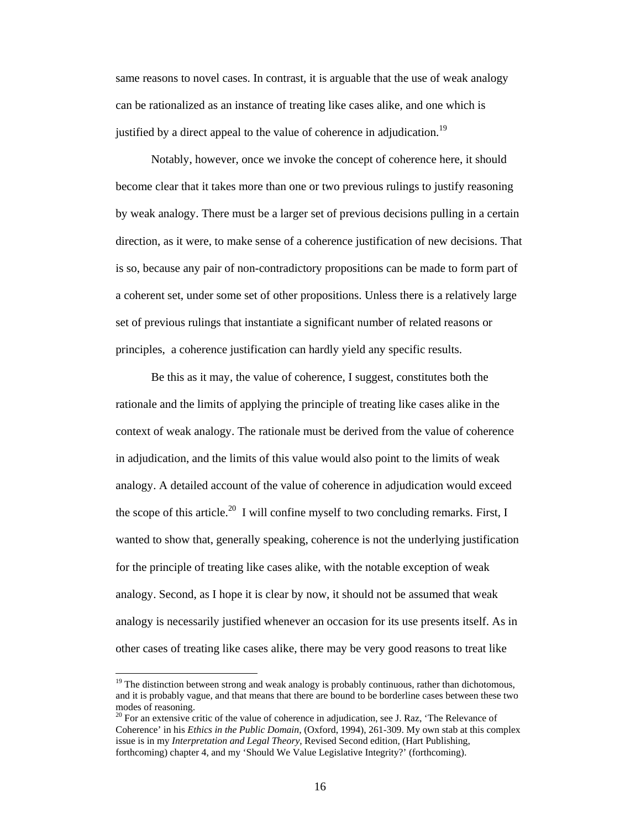same reasons to novel cases. In contrast, it is arguable that the use of weak analogy can be rationalized as an instance of treating like cases alike, and one which is justified by a direct appeal to the value of coherence in adjudication.<sup>19</sup>

Notably, however, once we invoke the concept of coherence here, it should become clear that it takes more than one or two previous rulings to justify reasoning by weak analogy. There must be a larger set of previous decisions pulling in a certain direction, as it were, to make sense of a coherence justification of new decisions. That is so, because any pair of non-contradictory propositions can be made to form part of a coherent set, under some set of other propositions. Unless there is a relatively large set of previous rulings that instantiate a significant number of related reasons or principles, a coherence justification can hardly yield any specific results.

Be this as it may, the value of coherence, I suggest, constitutes both the rationale and the limits of applying the principle of treating like cases alike in the context of weak analogy. The rationale must be derived from the value of coherence in adjudication, and the limits of this value would also point to the limits of weak analogy. A detailed account of the value of coherence in adjudication would exceed the scope of this article.<sup>20</sup> I will confine myself to two concluding remarks. First, I wanted to show that, generally speaking, coherence is not the underlying justification for the principle of treating like cases alike, with the notable exception of weak analogy. Second, as I hope it is clear by now, it should not be assumed that weak analogy is necessarily justified whenever an occasion for its use presents itself. As in other cases of treating like cases alike, there may be very good reasons to treat like

<sup>&</sup>lt;sup>19</sup> The distinction between strong and weak analogy is probably continuous, rather than dichotomous, and it is probably vague, and that means that there are bound to be borderline cases between these two modes of reasoning.

 $20$  For an extensive critic of the value of coherence in adjudication, see J. Raz, 'The Relevance of Coherence' in his *Ethics in the Public Domain*, (Oxford, 1994), 261-309. My own stab at this complex issue is in my *Interpretation and Legal Theory*, Revised Second edition, (Hart Publishing, forthcoming) chapter 4, and my 'Should We Value Legislative Integrity?' (forthcoming).